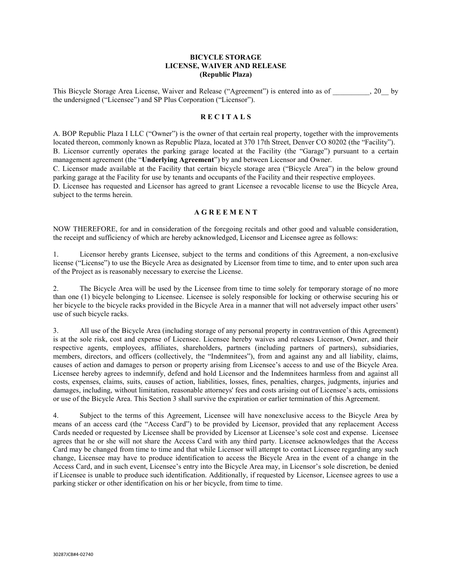## BICYCLE STORAGE LICENSE, WAIVER AND RELEASE (Republic Plaza)

This Bicycle Storage Area License, Waiver and Release ("Agreement") is entered into as of \_\_\_\_\_\_\_\_\_\_, 20\_\_ by the undersigned ("Licensee") and SP Plus Corporation ("Licensor").

## **RECITALS**

A. BOP Republic Plaza I LLC ("Owner") is the owner of that certain real property, together with the improvements located thereon, commonly known as Republic Plaza, located at 370 17th Street, Denver CO 80202 (the "Facility"). B. Licensor currently operates the parking garage located at the Facility (the "Garage") pursuant to a certain management agreement (the "Underlying Agreement") by and between Licensor and Owner.

C. Licensor made available at the Facility that certain bicycle storage area ("Bicycle Area") in the below ground parking garage at the Facility for use by tenants and occupants of the Facility and their respective employees.

D. Licensee has requested and Licensor has agreed to grant Licensee a revocable license to use the Bicycle Area, subject to the terms herein.

### **A G R E E M E N T**

NOW THEREFORE, for and in consideration of the foregoing recitals and other good and valuable consideration, the receipt and sufficiency of which are hereby acknowledged, Licensor and Licensee agree as follows:

1. Licensor hereby grants Licensee, subject to the terms and conditions of this Agreement, a non-exclusive license ("License") to use the Bicycle Area as designated by Licensor from time to time, and to enter upon such area of the Project as is reasonably necessary to exercise the License.

2. The Bicycle Area will be used by the Licensee from time to time solely for temporary storage of no more than one (1) bicycle belonging to Licensee. Licensee is solely responsible for locking or otherwise securing his or her bicycle to the bicycle racks provided in the Bicycle Area in a manner that will not adversely impact other users' use of such bicycle racks.

3. All use of the Bicycle Area (including storage of any personal property in contravention of this Agreement) is at the sole risk, cost and expense of Licensee. Licensee hereby waives and releases Licensor, Owner, and their respective agents, employees, affiliates, shareholders, partners (including partners of partners), subsidiaries, members, directors, and officers (collectively, the "Indemnitees"), from and against any and all liability, claims, causes of action and damages to person or property arising from Licensee's access to and use of the Bicycle Area. Licensee hereby agrees to indemnify, defend and hold Licensor and the Indemnitees harmless from and against all costs, expenses, claims, suits, causes of action, liabilities, losses, fines, penalties, charges, judgments, injuries and damages, including, without limitation, reasonable attorneys' fees and costs arising out of Licensee's acts, omissions or use of the Bicycle Area. This Section 3 shall survive the expiration or earlier termination of this Agreement.

4. Subject to the terms of this Agreement, Licensee will have nonexclusive access to the Bicycle Area by means of an access card (the "Access Card") to be provided by Licensor, provided that any replacement Access Cards needed or requested by Licensee shall be provided by Licensor at Licensee's sole cost and expense. Licensee agrees that he or she will not share the Access Card with any third party. Licensee acknowledges that the Access Card may be changed from time to time and that while Licensor will attempt to contact Licensee regarding any such change, Licensee may have to produce identification to access the Bicycle Area in the event of a change in the Access Card, and in such event, Licensee's entry into the Bicycle Area may, in Licensor's sole discretion, be denied if Licensee is unable to produce such identification. Additionally, if requested by Licensor, Licensee agrees to use a parking sticker or other identification on his or her bicycle, from time to time.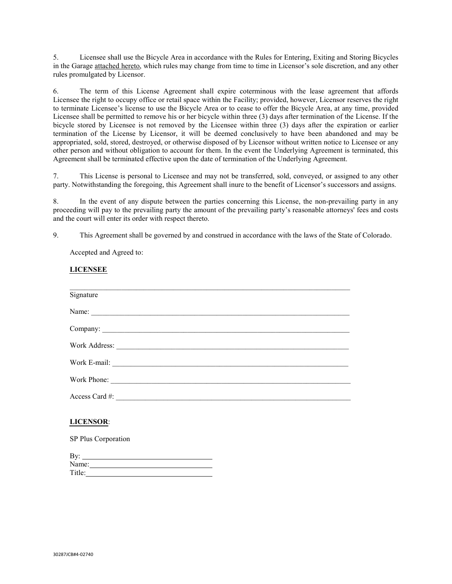5. Licensee shall use the Bicycle Area in accordance with the Rules for Entering, Exiting and Storing Bicycles in the Garage attached hereto, which rules may change from time to time in Licensor's sole discretion, and any other rules promulgated by Licensor.

6. The term of this License Agreement shall expire coterminous with the lease agreement that affords Licensee the right to occupy office or retail space within the Facility; provided, however, Licensor reserves the right to terminate Licensee's license to use the Bicycle Area or to cease to offer the Bicycle Area, at any time, provided Licensee shall be permitted to remove his or her bicycle within three (3) days after termination of the License. If the bicycle stored by Licensee is not removed by the Licensee within three (3) days after the expiration or earlier termination of the License by Licensor, it will be deemed conclusively to have been abandoned and may be appropriated, sold, stored, destroyed, or otherwise disposed of by Licensor without written notice to Licensee or any other person and without obligation to account for them. In the event the Underlying Agreement is terminated, this Agreement shall be terminated effective upon the date of termination of the Underlying Agreement.

7. This License is personal to Licensee and may not be transferred, sold, conveyed, or assigned to any other party. Notwithstanding the foregoing, this Agreement shall inure to the benefit of Licensor's successors and assigns.

8. In the event of any dispute between the parties concerning this License, the non-prevailing party in any proceeding will pay to the prevailing party the amount of the prevailing party's reasonable attorneys' fees and costs and the court will enter its order with respect thereto.

9. This Agreement shall be governed by and construed in accordance with the laws of the State of Colorado.

Accepted and Agreed to:

LICENSEE

| Signature        |
|------------------|
| Name:            |
|                  |
|                  |
|                  |
| Work Phone:      |
| Access Card #:   |
| <b>LICENSOR:</b> |

SP Plus Corporation

| By:    |  |  |
|--------|--|--|
| Name:  |  |  |
| Title: |  |  |